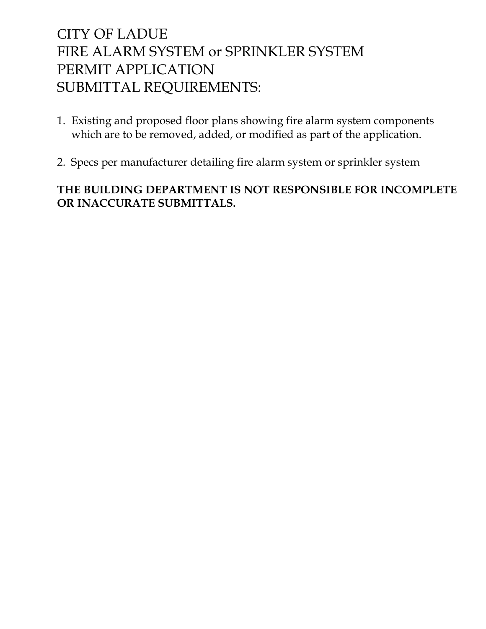# CITY OF LADUE FIRE ALARM SYSTEM or SPRINKLER SYSTEM PERMIT APPLICATION SUBMITTAL REQUIREMENTS:

- 1. Existing and proposed floor plans showing fire alarm system components which are to be removed, added, or modified as part of the application.
- 2. Specs per manufacturer detailing fire alarm system or sprinkler system

## **THE BUILDING DEPARTMENT IS NOT RESPONSIBLE FOR INCOMPLETE OR INACCURATE SUBMITTALS.**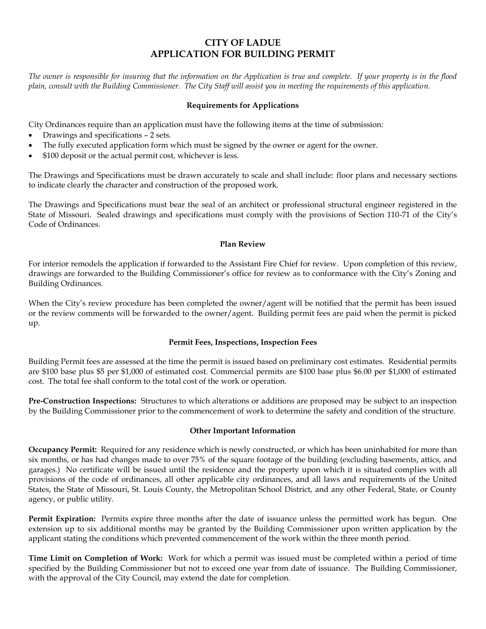### **CITY OF LADUE APPLICATION FOR BUILDING PERMIT**

*The owner is responsible for insuring that the information on the Application is true and complete. If your property is in the flood plain, consult with the Building Commissioner. The City Staff will assist you in meeting the requirements of this application.*

#### **Requirements for Applications**

City Ordinances require than an application must have the following items at the time of submission:

- Drawings and specifications 2 sets.
- The fully executed application form which must be signed by the owner or agent for the owner.
- \$100 deposit or the actual permit cost, whichever is less.

The Drawings and Specifications must be drawn accurately to scale and shall include: floor plans and necessary sections to indicate clearly the character and construction of the proposed work.

The Drawings and Specifications must bear the seal of an architect or professional structural engineer registered in the State of Missouri. Sealed drawings and specifications must comply with the provisions of Section 110-71 of the City's Code of Ordinances.

#### **Plan Review**

For interior remodels the application if forwarded to the Assistant Fire Chief for review. Upon completion of this review, drawings are forwarded to the Building Commissioner's office for review as to conformance with the City's Zoning and Building Ordinances.

When the City's review procedure has been completed the owner/agent will be notified that the permit has been issued or the review comments will be forwarded to the owner/agent. Building permit fees are paid when the permit is picked up.

#### **Permit Fees, Inspections, Inspection Fees**

Building Permit fees are assessed at the time the permit is issued based on preliminary cost estimates. Residential permits are \$100 base plus \$5 per \$1,000 of estimated cost. Commercial permits are \$100 base plus \$6.00 per \$1,000 of estimated cost. The total fee shall conform to the total cost of the work or operation.

**Pre-Construction Inspections:** Structures to which alterations or additions are proposed may be subject to an inspection by the Building Commissioner prior to the commencement of work to determine the safety and condition of the structure.

#### **Other Important Information**

**Occupancy Permit:** Required for any residence which is newly constructed, or which has been uninhabited for more than six months, or has had changes made to over 75% of the square footage of the building (excluding basements, attics, and garages.) No certificate will be issued until the residence and the property upon which it is situated complies with all provisions of the code of ordinances, all other applicable city ordinances, and all laws and requirements of the United States, the State of Missouri, St. Louis County, the Metropolitan School District, and any other Federal, State, or County agency, or public utility.

**Permit Expiration:** Permits expire three months after the date of issuance unless the permitted work has begun. One extension up to six additional months may be granted by the Building Commissioner upon written application by the applicant stating the conditions which prevented commencement of the work within the three month period.

**Time Limit on Completion of Work:** Work for which a permit was issued must be completed within a period of time specified by the Building Commissioner but not to exceed one year from date of issuance. The Building Commissioner, with the approval of the City Council, may extend the date for completion.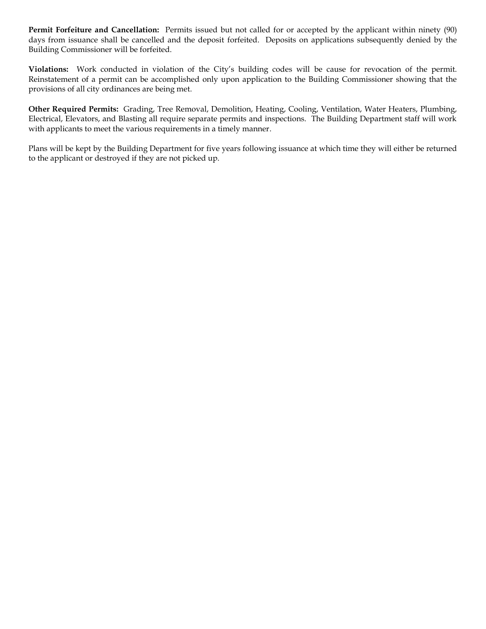**Permit Forfeiture and Cancellation:** Permits issued but not called for or accepted by the applicant within ninety (90) days from issuance shall be cancelled and the deposit forfeited. Deposits on applications subsequently denied by the Building Commissioner will be forfeited.

**Violations:** Work conducted in violation of the City's building codes will be cause for revocation of the permit. Reinstatement of a permit can be accomplished only upon application to the Building Commissioner showing that the provisions of all city ordinances are being met.

**Other Required Permits:** Grading, Tree Removal, Demolition, Heating, Cooling, Ventilation, Water Heaters, Plumbing, Electrical, Elevators, and Blasting all require separate permits and inspections. The Building Department staff will work with applicants to meet the various requirements in a timely manner.

Plans will be kept by the Building Department for five years following issuance at which time they will either be returned to the applicant or destroyed if they are not picked up.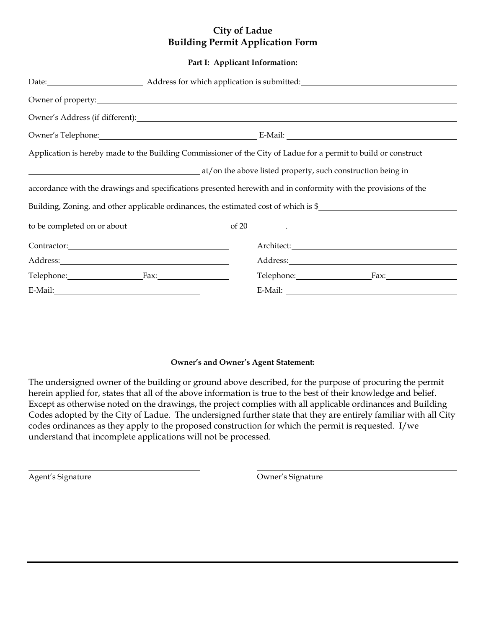## **City of Ladue Building Permit Application Form**

#### **Part I: Applicant Information:**

|                              | Owner's Telephone: E-Mail: E-Mail:                                                                              |  |  |  |  |
|------------------------------|-----------------------------------------------------------------------------------------------------------------|--|--|--|--|
|                              | Application is hereby made to the Building Commissioner of the City of Ladue for a permit to build or construct |  |  |  |  |
|                              | at/on the above listed property, such construction being in                                                     |  |  |  |  |
|                              | accordance with the drawings and specifications presented herewith and in conformity with the provisions of the |  |  |  |  |
|                              | Building, Zoning, and other applicable ordinances, the estimated cost of which is \$                            |  |  |  |  |
|                              |                                                                                                                 |  |  |  |  |
| Contractor: 2000 Contractor: |                                                                                                                 |  |  |  |  |
|                              |                                                                                                                 |  |  |  |  |
| Telephone: Fax:              | Telephone: Fax:                                                                                                 |  |  |  |  |
|                              | E-Mail:                                                                                                         |  |  |  |  |

#### **Owner's and Owner's Agent Statement:**

The undersigned owner of the building or ground above described, for the purpose of procuring the permit herein applied for, states that all of the above information is true to the best of their knowledge and belief. Except as otherwise noted on the drawings, the project complies with all applicable ordinances and Building Codes adopted by the City of Ladue. The undersigned further state that they are entirely familiar with all City codes ordinances as they apply to the proposed construction for which the permit is requested. I/we understand that incomplete applications will not be processed.

Agent's Signature **Contract Contract Contract Contract Contract Contract Contract Contract Contract Contract Contract Contract Contract Contract Contract Contract Contract Contract Contract Contract Contract Contract Contr**